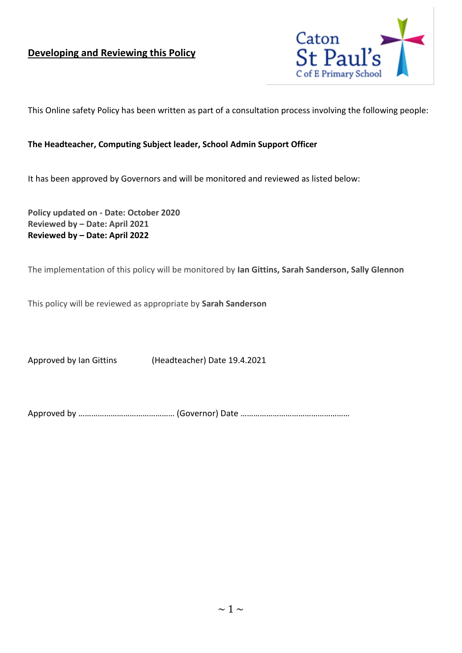#### **Developing and Reviewing this Policy**



This Online safety Policy has been written as part of a consultation process involving the following people:

#### **The Headteacher, Computing Subject leader, School Admin Support Officer**

It has been approved by Governors and will be monitored and reviewed as listed below:

**Policy updated on - Date: October 2020 Reviewed by – Date: April 2021 Reviewed by – Date: April 2022**

The implementation of this policy will be monitored by **Ian Gittins, Sarah Sanderson, Sally Glennon**

This policy will be reviewed as appropriate by **Sarah Sanderson**

Approved by Ian Gittins (Headteacher) Date 19.4.2021

Approved by ……………………………………… (Governor) Date ……………………………………………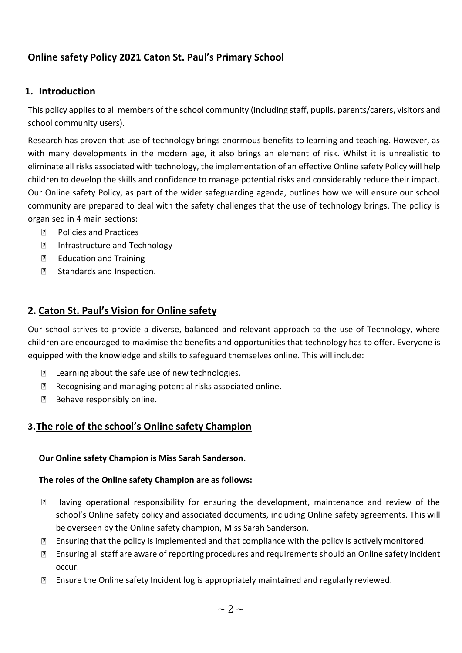## **Online safety Policy 2021 Caton St. Paul's Primary School**

#### **1. Introduction**

This policy appliesto all members of the school community (including staff, pupils, parents/carers, visitors and school community users).

Research has proven that use of technology brings enormous benefits to learning and teaching. However, as with many developments in the modern age, it also brings an element of risk. Whilst it is unrealistic to eliminate all risks associated with technology, the implementation of an effective Online safety Policy will help children to develop the skills and confidence to manage potential risks and considerably reduce their impact. Our Online safety Policy, as part of the wider safeguarding agenda, outlines how we will ensure our school community are prepared to deal with the safety challenges that the use of technology brings. The policy is organised in 4 main sections:

- Policies and Practices  $\overline{2}$
- $\Box$ Infrastructure and Technology
- $\Box$ Education and Training
- $\Box$ Standards and Inspection.

#### **2. Caton St. Paul's Vision for Online safety**

Our school strives to provide a diverse, balanced and relevant approach to the use of Technology, where children are encouraged to maximise the benefits and opportunities that technology has to offer. Everyone is equipped with the knowledge and skills to safeguard themselves online. This will include:

- **E** Learning about the safe use of new technologies.
- Recognising and managing potential risks associated online.
- Behave responsibly online.

#### **3.The role of the school's Online safety Champion**

#### **Our Online safety Champion is Miss Sarah Sanderson.**

#### **The roles of the Online safety Champion are as follows:**

- $\Box$ Having operational responsibility for ensuring the development, maintenance and review of the school's Online safety policy and associated documents, including Online safety agreements. This will be overseen by the Online safety champion, Miss Sarah Sanderson.
- **Ensuring that the policy is implemented and that compliance with the policy is actively monitored.**
- Ensuring all staff are aware of reporting procedures and requirements should an Online safety incident occur.
- Ensure the Online safety Incident log is appropriately maintained and regularly reviewed.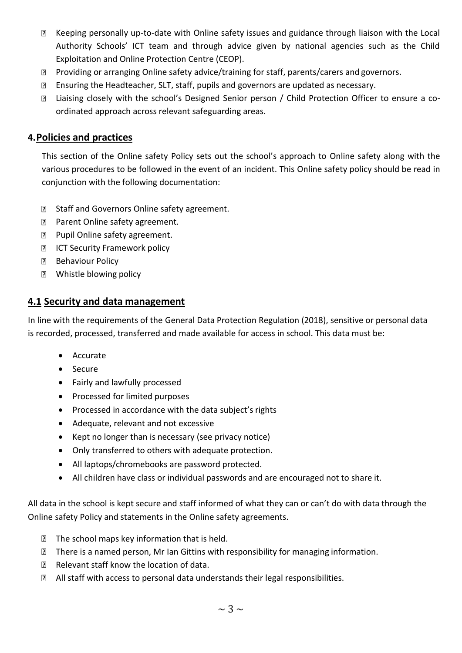- Keeping personally up-to-date with Online safety issues and guidance through liaison with the Local Authority Schools' ICT team and through advice given by national agencies such as the Child Exploitation and Online Protection Centre (CEOP).
- **D** Providing or arranging Online safety advice/training for staff, parents/carers and governors.
- Ensuring the Headteacher, SLT, staff, pupils and governors are updated as necessary.
- Liaising closely with the school's Designed Senior person / Child Protection Officer to ensure a coordinated approach across relevant safeguarding areas.

#### **4.Policies and practices**

This section of the Online safety Policy sets out the school's approach to Online safety along with the various procedures to be followed in the event of an incident. This Online safety policy should be read in conjunction with the following documentation:

- **B** Staff and Governors Online safety agreement.
- **Parent Online safety agreement.**
- **Pupil Online safety agreement.**
- **ICT Security Framework policy**
- **Behaviour Policy**
- **2** Whistle blowing policy

#### **4.1 Security and data management**

In line with the requirements of the General Data Protection Regulation (2018), sensitive or personal data is recorded, processed, transferred and made available for access in school. This data must be:

- Accurate
- Secure
- Fairly and lawfully processed
- Processed for limited purposes
- Processed in accordance with the data subject's rights
- Adequate, relevant and not excessive
- Kept no longer than is necessary (see privacy notice)
- Only transferred to others with adequate protection.
- All laptops/chromebooks are password protected.
- All children have class or individual passwords and are encouraged not to share it.

All data in the school is kept secure and staff informed of what they can or can't do with data through the Online safety Policy and statements in the Online safety agreements.

- **The school maps key information that is held.**
- **There is a named person, Mr Ian Gittins with responsibility for managing information.**
- Relevant staff know the location of data.
- All staff with access to personal data understands their legal responsibilities.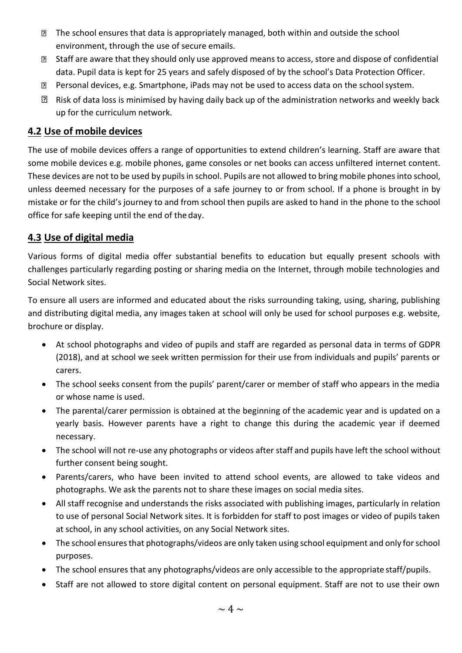- The school ensures that data is appropriately managed, both within and outside the school environment, through the use of secure emails.
- Staff are aware that they should only use approved means to access, store and dispose of confidential data. Pupil data is kept for 25 years and safely disposed of by the school's Data Protection Officer.
- **Personal devices, e.g. Smartphone, iPads may not be used to access data on the school system.**
- $\mathbb{R}$  Risk of data loss is minimised by having daily back up of the administration networks and weekly back up for the curriculum network.

#### **4.2 Use of mobile devices**

The use of mobile devices offers a range of opportunities to extend children's learning. Staff are aware that some mobile devices e.g. mobile phones, game consoles or net books can access unfiltered internet content. These devices are not to be used by pupils in school. Pupils are not allowed to bring mobile phones into school, unless deemed necessary for the purposes of a safe journey to or from school. If a phone is brought in by mistake or for the child's journey to and from school then pupils are asked to hand in the phone to the school office for safe keeping until the end of the day.

#### **4.3 Use of digital media**

Various forms of digital media offer substantial benefits to education but equally present schools with challenges particularly regarding posting or sharing media on the Internet, through mobile technologies and Social Network sites.

To ensure all users are informed and educated about the risks surrounding taking, using, sharing, publishing and distributing digital media, any images taken at school will only be used for school purposes e.g. website, brochure or display.

- At school photographs and video of pupils and staff are regarded as personal data in terms of GDPR (2018), and at school we seek written permission for their use from individuals and pupils' parents or carers.
- The school seeks consent from the pupils' parent/carer or member of staff who appears in the media or whose name is used.
- The parental/carer permission is obtained at the beginning of the academic year and is updated on a yearly basis. However parents have a right to change this during the academic year if deemed necessary.
- The school will not re-use any photographs or videos after staff and pupils have left the school without further consent being sought.
- Parents/carers, who have been invited to attend school events, are allowed to take videos and photographs. We ask the parents not to share these images on social media sites.
- All staff recognise and understands the risks associated with publishing images, particularly in relation to use of personal Social Network sites. It is forbidden for staff to post images or video of pupils taken at school, in any school activities, on any Social Network sites.
- The school ensures that photographs/videos are only taken using school equipment and only for school purposes.
- The school ensures that any photographs/videos are only accessible to the appropriate staff/pupils.
- Staff are not allowed to store digital content on personal equipment. Staff are not to use their own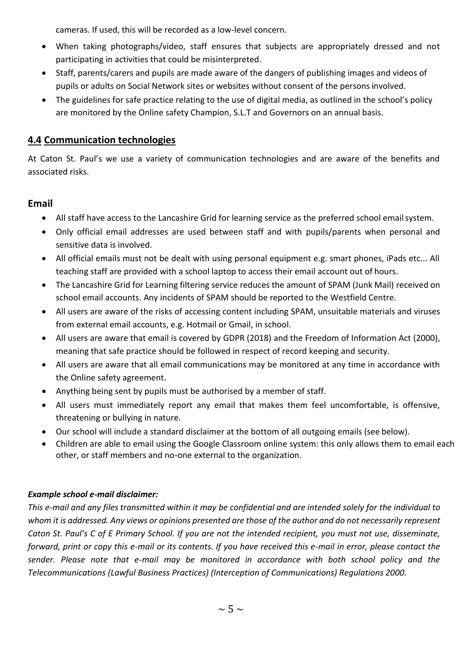cameras. If used, this will be recorded as a low-level concern.

- When taking photographs/video, staff ensures that subjects are appropriately dressed and not participating in activities that could be misinterpreted.
- Staff, parents/carers and pupils are made aware of the dangers of publishing images and videos of pupils or adults on Social Network sites or websites without consent of the personsinvolved.
- The guidelines for safe practice relating to the use of digital media, as outlined in the school's policy are monitored by the Online safety Champion, S.L.T and Governors on an annual basis.

#### **4.4 Communication technologies**

At Caton St. Paul's we use a variety of communication technologies and are aware of the benefits and associated risks.

#### **Email**

- All staff have access to the Lancashire Grid for learning service as the preferred school emailsystem.
- Only official email addresses are used between staff and with pupils/parents when personal and sensitive data is involved.
- All official emails must not be dealt with using personal equipment e.g. smart phones, iPads etc... All teaching staff are provided with a school laptop to access their email account out of hours.
- The Lancashire Grid for Learning filtering service reduces the amount of SPAM (Junk Mail) received on school email accounts. Any incidents of SPAM should be reported to the Westfield Centre.
- All users are aware of the risks of accessing content including SPAM, unsuitable materials and viruses from external email accounts, e.g. Hotmail or Gmail, in school.
- All users are aware that email is covered by GDPR (2018) and the Freedom of Information Act (2000), meaning that safe practice should be followed in respect of record keeping and security.
- All users are aware that all email communications may be monitored at any time in accordance with the Online safety agreement.
- Anything being sent by pupils must be authorised by a member of staff.
- All users must immediately report any email that makes them feel uncomfortable, is offensive, threatening or bullying in nature.
- Our school will include a standard disclaimer at the bottom of all outgoing emails (see below).
- Children are able to email using the Google Classroom online system: this only allows them to email each other, or staff members and no-one external to the organization.

#### *Example school e-mail disclaimer:*

This e-mail and any files transmitted within it may be confidential and are intended solely for the individual to whom it is addressed. Any views or opinions presented are those of the author and do not necessarily represent *Caton St. Paul's C of E Primary School. If you are not the intended recipient, you must not use, disseminate, forward, print or copy this e-mail or its contents. If you have received this e-mail in error, please contact the sender. Please note that e-mail may be monitored in accordance with both school policy and the Telecommunications (Lawful Business Practices) (Interception of Communications) Regulations 2000.*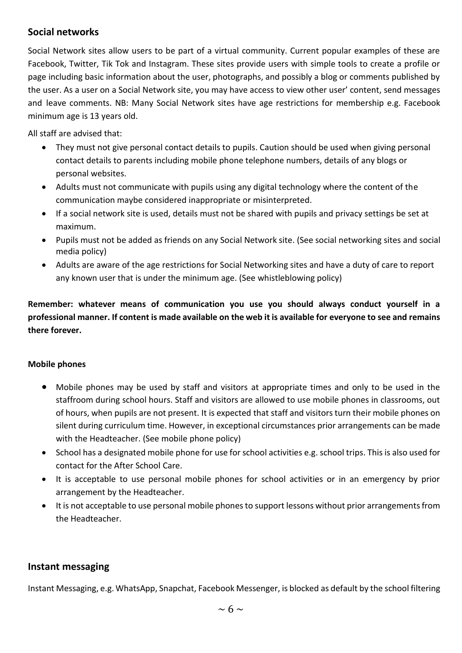#### **Social networks**

Social Network sites allow users to be part of a virtual community. Current popular examples of these are Facebook, Twitter, Tik Tok and Instagram. These sites provide users with simple tools to create a profile or page including basic information about the user, photographs, and possibly a blog or comments published by the user. As a user on a Social Network site, you may have access to view other user' content, send messages and leave comments. NB: Many Social Network sites have age restrictions for membership e.g. Facebook minimum age is 13 years old.

All staff are advised that:

- They must not give personal contact details to pupils. Caution should be used when giving personal contact details to parents including mobile phone telephone numbers, details of any blogs or personal websites.
- Adults must not communicate with pupils using any digital technology where the content of the communication maybe considered inappropriate or misinterpreted.
- If a social network site is used, details must not be shared with pupils and privacy settings be set at maximum.
- Pupils must not be added as friends on any Social Network site. (See social networking sites and social media policy)
- Adults are aware of the age restrictions for Social Networking sites and have a duty of care to report any known user that is under the minimum age. (See whistleblowing policy)

**Remember: whatever means of communication you use you should always conduct yourself in a**  professional manner. If content is made available on the web it is available for everyone to see and remains **there forever.**

#### **Mobile phones**

- Mobile phones may be used by staff and visitors at appropriate times and only to be used in the staffroom during school hours. Staff and visitors are allowed to use mobile phones in classrooms, out of hours, when pupils are not present. It is expected that staff and visitorsturn their mobile phones on silent during curriculum time. However, in exceptional circumstances prior arrangements can be made with the Headteacher. (See mobile phone policy)
- School has a designated mobile phone for use for school activities e.g. school trips. This is also used for contact for the After School Care.
- It is acceptable to use personal mobile phones for school activities or in an emergency by prior arrangement by the Headteacher.
- It is not acceptable to use personal mobile phones to support lessons without prior arrangements from the Headteacher.

#### **Instant messaging**

Instant Messaging, e.g. WhatsApp, Snapchat, Facebook Messenger, is blocked as default by the school filtering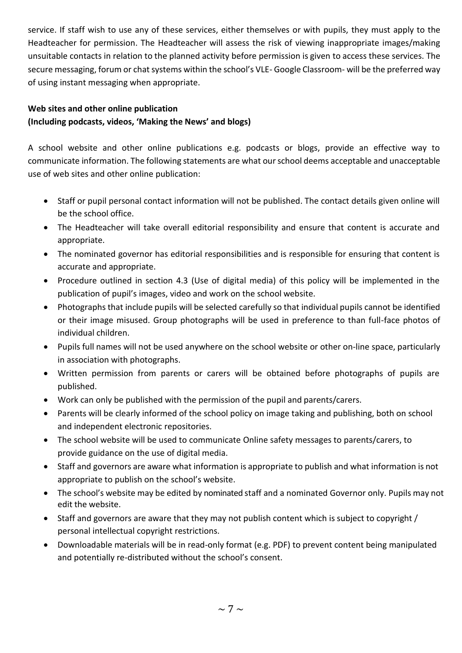service. If staff wish to use any of these services, either themselves or with pupils, they must apply to the Headteacher for permission. The Headteacher will assess the risk of viewing inappropriate images/making unsuitable contacts in relation to the planned activity before permission is given to access these services. The secure messaging, forum or chat systems within the school's VLE- Google Classroom- will be the preferred way of using instant messaging when appropriate.

## **Web sites and other online publication**

#### **(Including podcasts, videos, 'Making the News' and blogs)**

A school website and other online publications e.g. podcasts or blogs, provide an effective way to communicate information. The following statements are what ourschool deems acceptable and unacceptable use of web sites and other online publication:

- Staff or pupil personal contact information will not be published. The contact details given online will be the school office.
- The Headteacher will take overall editorial responsibility and ensure that content is accurate and appropriate.
- The nominated governor has editorial responsibilities and is responsible for ensuring that content is accurate and appropriate.
- Procedure outlined in section 4.3 (Use of digital media) of this policy will be implemented in the publication of pupil's images, video and work on the school website.
- Photographs that include pupils will be selected carefully so that individual pupils cannot be identified or their image misused. Group photographs will be used in preference to than full-face photos of individual children.
- Pupils full names will not be used anywhere on the school website or other on-line space, particularly in association with photographs.
- Written permission from parents or carers will be obtained before photographs of pupils are published.
- Work can only be published with the permission of the pupil and parents/carers.
- Parents will be clearly informed of the school policy on image taking and publishing, both on school and independent electronic repositories.
- The school website will be used to communicate Online safety messages to parents/carers, to provide guidance on the use of digital media.
- Staff and governors are aware what information is appropriate to publish and what information is not appropriate to publish on the school's website.
- The school's website may be edited by nominated staff and a nominated Governor only. Pupils may not edit the website.
- Staff and governors are aware that they may not publish content which is subject to copyright / personal intellectual copyright restrictions.
- Downloadable materials will be in read-only format (e.g. PDF) to prevent content being manipulated and potentially re-distributed without the school's consent.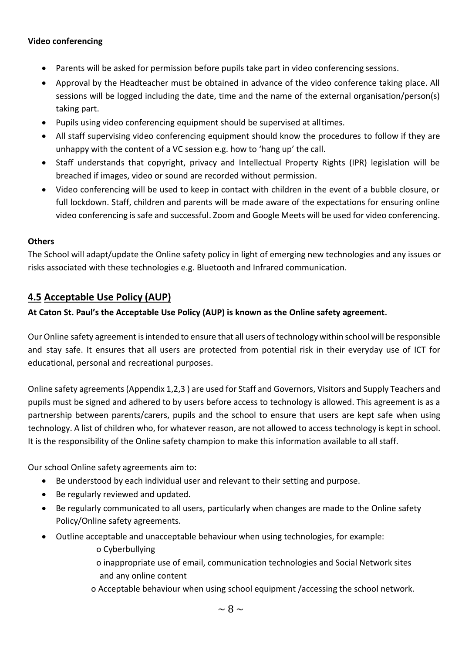#### **Video conferencing**

- Parents will be asked for permission before pupils take part in video conferencing sessions.
- Approval by the Headteacher must be obtained in advance of the video conference taking place. All sessions will be logged including the date, time and the name of the external organisation/person(s) taking part.
- Pupils using video conferencing equipment should be supervised at alltimes.
- All staff supervising video conferencing equipment should know the procedures to follow if they are unhappy with the content of a VC session e.g. how to 'hang up' the call.
- Staff understands that copyright, privacy and Intellectual Property Rights (IPR) legislation will be breached if images, video or sound are recorded without permission.
- Video conferencing will be used to keep in contact with children in the event of a bubble closure, or full lockdown. Staff, children and parents will be made aware of the expectations for ensuring online video conferencing is safe and successful. Zoom and Google Meets will be used for video conferencing.

#### **Others**

The School will adapt/update the Online safety policy in light of emerging new technologies and any issues or risks associated with these technologies e.g. Bluetooth and Infrared communication.

#### **4.5 Acceptable Use Policy (AUP)**

#### **At Caton St. Paul's the Acceptable Use Policy (AUP) is known as the Online safety agreement**.

Our Online safety agreement isintended to ensure that all users oftechnology within school will be responsible and stay safe. It ensures that all users are protected from potential risk in their everyday use of ICT for educational, personal and recreational purposes.

Online safety agreements (Appendix 1,2,3 ) are used for Staff and Governors, Visitors and Supply Teachers and pupils must be signed and adhered to by users before access to technology is allowed. This agreement is as a partnership between parents/carers, pupils and the school to ensure that users are kept safe when using technology. A list of children who, for whatever reason, are not allowed to access technology is kept in school. It is the responsibility of the Online safety champion to make this information available to all staff.

Our school Online safety agreements aim to:

- Be understood by each individual user and relevant to their setting and purpose.
- Be regularly reviewed and updated.
- Be regularly communicated to all users, particularly when changes are made to the Online safety Policy/Online safety agreements.
- Outline acceptable and unacceptable behaviour when using technologies, for example:
	- o Cyberbullying
	- o inappropriate use of email, communication technologies and Social Network sites and any online content
	- o Acceptable behaviour when using school equipment /accessing the school network.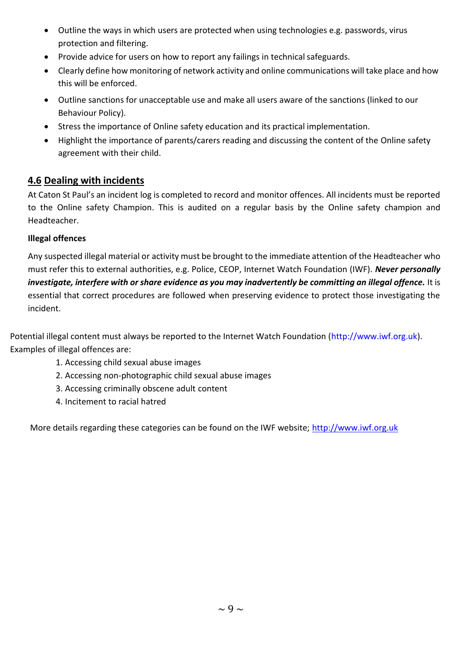- Outline the ways in which users are protected when using technologies e.g. passwords, virus protection and filtering.
- Provide advice for users on how to report any failings in technical safeguards.
- Clearly define how monitoring of network activity and online communications will take place and how this will be enforced.
- Outline sanctions for unacceptable use and make all users aware of the sanctions (linked to our Behaviour Policy).
- Stress the importance of Online safety education and its practical implementation.
- Highlight the importance of parents/carers reading and discussing the content of the Online safety agreement with their child.

#### **4.6 Dealing with incidents**

At Caton St Paul's an incident log is completed to record and monitor offences. All incidents must be reported to the Online safety Champion. This is audited on a regular basis by the Online safety champion and Headteacher.

#### **Illegal offences**

Any suspected illegal material or activity must be brought to the immediate attention of the Headteacher who must refer this to external authorities, e.g. Police, CEOP, Internet Watch Foundation (IWF). *Never personally investigate, interfere with or share evidence as you may inadvertently be committing an illegal offence.* It is essential that correct procedures are followed when preserving evidence to protect those investigating the incident.

Potential illegal content must always be reported to the Internet Watch Foundation (http://www.iwf.org.uk). Examples of illegal offences are:

- 1. Accessing child sexual abuse images
- 2. Accessing non-photographic child sexual abuse images
- 3. Accessing criminally obscene adult content
- 4. Incitement to racial hatred

More details regarding these categories can be found on the IWF website; [http://www.iwf.org.uk](http://www.iwf.org.uk/)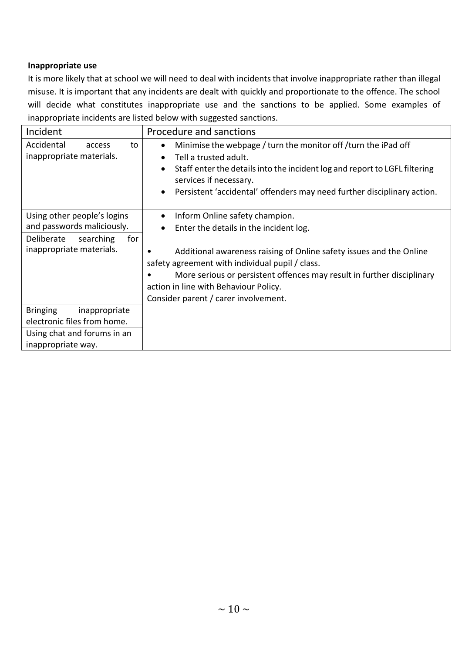#### **Inappropriate use**

It is more likely that at school we will need to deal with incidents that involve inappropriate rather than illegal misuse. It is important that any incidents are dealt with quickly and proportionate to the offence. The school will decide what constitutes inappropriate use and the sanctions to be applied. Some examples of inappropriate incidents are listed below with suggested sanctions.

| Incident                                                                                                                | Procedure and sanctions                                                                                                                                                                                                                                                                                                                                                                 |  |
|-------------------------------------------------------------------------------------------------------------------------|-----------------------------------------------------------------------------------------------------------------------------------------------------------------------------------------------------------------------------------------------------------------------------------------------------------------------------------------------------------------------------------------|--|
| Accidental<br>to<br>access<br>inappropriate materials.                                                                  | Minimise the webpage / turn the monitor off / turn the iPad off<br>$\bullet$<br>Tell a trusted adult.<br>$\bullet$<br>Staff enter the details into the incident log and report to LGFL filtering<br>$\bullet$<br>services if necessary.<br>Persistent 'accidental' offenders may need further disciplinary action.<br>$\bullet$                                                         |  |
| Using other people's logins<br>and passwords maliciously.<br>Deliberate<br>searching<br>for<br>inappropriate materials. | Inform Online safety champion.<br>$\bullet$<br>Enter the details in the incident log.<br>$\bullet$<br>Additional awareness raising of Online safety issues and the Online<br>safety agreement with individual pupil / class.<br>More serious or persistent offences may result in further disciplinary<br>action in line with Behaviour Policy.<br>Consider parent / carer involvement. |  |
| <b>Bringing</b><br>inappropriate<br>electronic files from home.<br>Using chat and forums in an<br>inappropriate way.    |                                                                                                                                                                                                                                                                                                                                                                                         |  |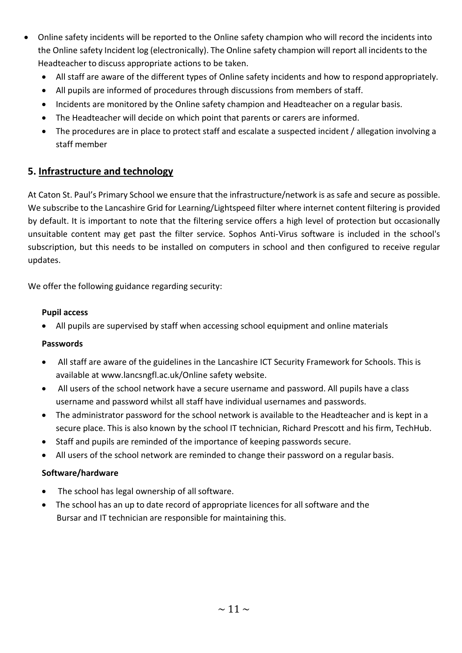- Online safety incidents will be reported to the Online safety champion who will record the incidents into the Online safety Incident log (electronically). The Online safety champion will report all incidents to the Headteacher to discuss appropriate actions to be taken.
	- All staff are aware of the different types of Online safety incidents and how to respond appropriately.
	- All pupils are informed of procedures through discussions from members of staff.
	- Incidents are monitored by the Online safety champion and Headteacher on a regular basis.
	- The Headteacher will decide on which point that parents or carers are informed.
	- The procedures are in place to protect staff and escalate a suspected incident / allegation involving a staff member

#### **5. Infrastructure and technology**

At Caton St. Paul's Primary School we ensure that the infrastructure/network is as safe and secure as possible. We subscribe to the Lancashire Grid for Learning/Lightspeed filter where internet content filtering is provided by default. It is important to note that the filtering service offers a high level of protection but occasionally unsuitable content may get past the filter service. Sophos Anti-Virus software is included in the school's subscription, but this needs to be installed on computers in school and then configured to receive regular updates.

We offer the following guidance regarding security:

#### **Pupil access**

• All pupils are supervised by staff when accessing school equipment and online materials

#### **Passwords**

- All staff are aware of the guidelines in the Lancashire ICT Security Framework for Schools. This is available at [www.lancsngfl.ac.uk/Online safety](http://www.lancsngfl.ac.uk/esafety) website.
- All users of the school network have a secure username and password. All pupils have a class username and password whilst all staff have individual usernames and passwords.
- The administrator password for the school network is available to the Headteacher and is kept in a secure place. This is also known by the school IT technician, Richard Prescott and his firm, TechHub.
- Staff and pupils are reminded of the importance of keeping passwords secure.
- All users of the school network are reminded to change their password on a regular basis.

#### **Software/hardware**

- The school has legal ownership of all software.
- The school has an up to date record of appropriate licences for all software and the Bursar and IT technician are responsible for maintaining this.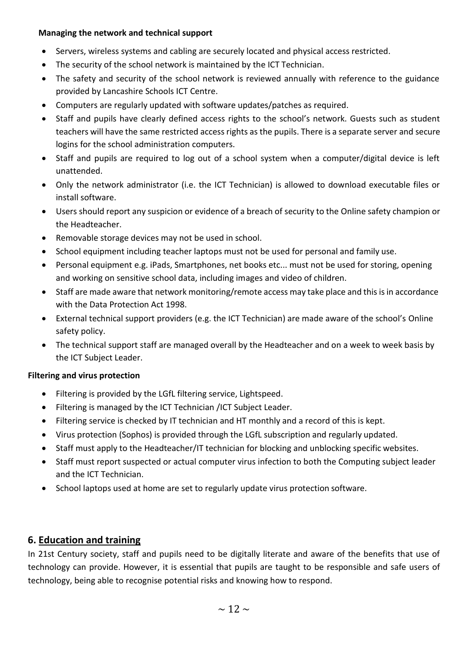#### **Managing the network and technical support**

- Servers, wireless systems and cabling are securely located and physical access restricted.
- The security of the school network is maintained by the ICT Technician.
- The safety and security of the school network is reviewed annually with reference to the guidance provided by Lancashire Schools ICT Centre.
- Computers are regularly updated with software updates/patches as required.
- Staff and pupils have clearly defined access rights to the school's network. Guests such as student teachers will have the same restricted access rights as the pupils. There is a separate server and secure logins for the school administration computers.
- Staff and pupils are required to log out of a school system when a computer/digital device is left unattended.
- Only the network administrator (i.e. the ICT Technician) is allowed to download executable files or install software.
- Users should report any suspicion or evidence of a breach of security to the Online safety champion or the Headteacher.
- Removable storage devices may not be used in school.
- School equipment including teacher laptops must not be used for personal and family use.
- Personal equipment e.g. iPads, Smartphones, net books etc... must not be used for storing, opening and working on sensitive school data, including images and video of children.
- Staff are made aware that network monitoring/remote access may take place and this is in accordance with the Data Protection Act 1998.
- External technical support providers (e.g. the ICT Technician) are made aware of the school's Online safety policy.
- The technical support staff are managed overall by the Headteacher and on a week to week basis by the ICT Subject Leader.

#### **Filtering and virus protection**

- Filtering is provided by the LGfL filtering service, Lightspeed.
- Filtering is managed by the ICT Technician /ICT Subject Leader.
- Filtering service is checked by IT technician and HT monthly and a record of this is kept.
- Virus protection (Sophos) is provided through the LGfL subscription and regularly updated.
- Staff must apply to the Headteacher/IT technician for blocking and unblocking specific websites.
- Staff must report suspected or actual computer virus infection to both the Computing subject leader and the ICT Technician.
- School laptops used at home are set to regularly update virus protection software.

#### **6. Education and training**

In 21st Century society, staff and pupils need to be digitally literate and aware of the benefits that use of technology can provide. However, it is essential that pupils are taught to be responsible and safe users of technology, being able to recognise potential risks and knowing how to respond.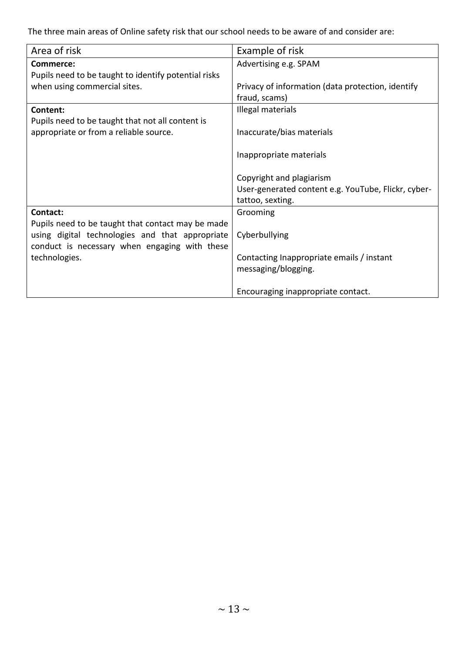The three main areas of Online safety risk that our school needs to be aware of and consider are:

| Area of risk                                         | Example of risk                                     |
|------------------------------------------------------|-----------------------------------------------------|
| Commerce:                                            | Advertising e.g. SPAM                               |
| Pupils need to be taught to identify potential risks |                                                     |
| when using commercial sites.                         | Privacy of information (data protection, identify   |
|                                                      | fraud, scams)                                       |
| Content:                                             | Illegal materials                                   |
| Pupils need to be taught that not all content is     |                                                     |
| appropriate or from a reliable source.               | Inaccurate/bias materials                           |
|                                                      |                                                     |
|                                                      | Inappropriate materials                             |
|                                                      |                                                     |
|                                                      | Copyright and plagiarism                            |
|                                                      | User-generated content e.g. YouTube, Flickr, cyber- |
|                                                      | tattoo, sexting.                                    |
| Contact:                                             | Grooming                                            |
| Pupils need to be taught that contact may be made    |                                                     |
| using digital technologies and that appropriate      | Cyberbullying                                       |
| conduct is necessary when engaging with these        |                                                     |
| technologies.                                        | Contacting Inappropriate emails / instant           |
|                                                      | messaging/blogging.                                 |
|                                                      |                                                     |
|                                                      | Encouraging inappropriate contact.                  |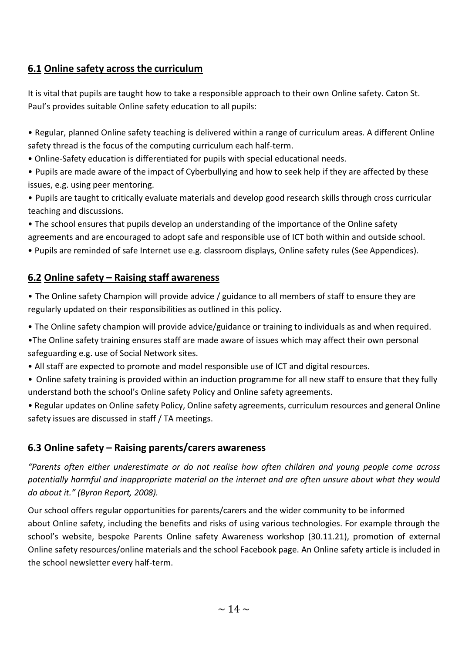## **6.1 Online safety across the curriculum**

It is vital that pupils are taught how to take a responsible approach to their own Online safety. Caton St. Paul's provides suitable Online safety education to all pupils:

• Regular, planned Online safety teaching is delivered within a range of curriculum areas. A different Online safety thread is the focus of the computing curriculum each half-term.

- Online-Safety education is differentiated for pupils with special educational needs.
- Pupils are made aware of the impact of Cyberbullying and how to seek help if they are affected by these issues, e.g. using peer mentoring.
- Pupils are taught to critically evaluate materials and develop good research skills through cross curricular teaching and discussions.
- The school ensures that pupils develop an understanding of the importance of the Online safety agreements and are encouraged to adopt safe and responsible use of ICT both within and outside school.
- Pupils are reminded of safe Internet use e.g. classroom displays, Online safety rules (See Appendices).

## **6.2 Online safety – Raising staff awareness**

• The Online safety Champion will provide advice / guidance to all members of staff to ensure they are regularly updated on their responsibilities as outlined in this policy.

- The Online safety champion will provide advice/guidance or training to individuals as and when required.
- •The Online safety training ensures staff are made aware of issues which may affect their own personal safeguarding e.g. use of Social Network sites.
- All staff are expected to promote and model responsible use of ICT and digital resources.
- Online safety training is provided within an induction programme for all new staff to ensure that they fully understand both the school's Online safety Policy and Online safety agreements.
- Regular updates on Online safety Policy, Online safety agreements, curriculum resources and general Online safety issues are discussed in staff / TA meetings.

## **6.3 Online safety – Raising parents/carers awareness**

*"Parents often either underestimate or do not realise how often children and young people come across potentially harmful and inappropriate material on the internet and are often unsure about what they would do about it." (Byron Report, 2008).*

Our school offers regular opportunities for parents/carers and the wider community to be informed about Online safety, including the benefits and risks of using various technologies. For example through the school's website, bespoke Parents Online safety Awareness workshop (30.11.21), promotion of external Online safety resources/online materials and the school Facebook page. An Online safety article is included in the school newsletter every half-term.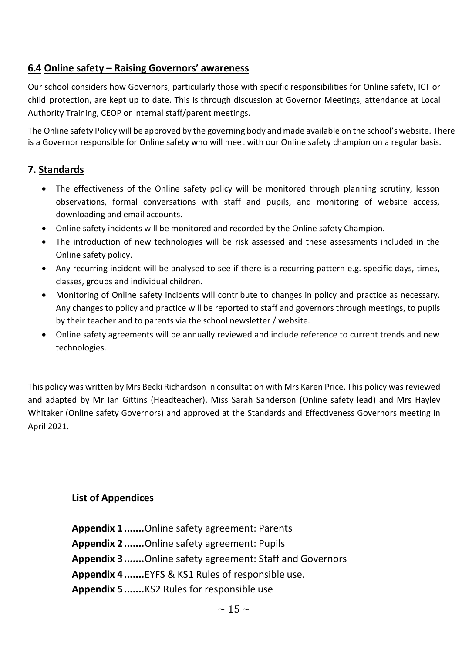#### **6.4 Online safety – Raising Governors' awareness**

Our school considers how Governors, particularly those with specific responsibilities for Online safety, ICT or child protection, are kept up to date. This is through discussion at Governor Meetings, attendance at Local Authority Training, CEOP or internal staff/parent meetings.

The Online safety Policy will be approved by the governing body and made available on the school's website. There is a Governor responsible for Online safety who will meet with our Online safety champion on a regular basis.

#### **7. Standards**

- The effectiveness of the Online safety policy will be monitored through planning scrutiny, lesson observations, formal conversations with staff and pupils, and monitoring of website access, downloading and email accounts.
- Online safety incidents will be monitored and recorded by the Online safety Champion.
- The introduction of new technologies will be risk assessed and these assessments included in the Online safety policy.
- Any recurring incident will be analysed to see if there is a recurring pattern e.g. specific days, times, classes, groups and individual children.
- Monitoring of Online safety incidents will contribute to changes in policy and practice as necessary. Any changes to policy and practice will be reported to staff and governors through meetings, to pupils by their teacher and to parents via the school newsletter / website.
- Online safety agreements will be annually reviewed and include reference to current trends and new technologies.

This policy was written by Mrs Becki Richardson in consultation with Mrs Karen Price. This policy was reviewed and adapted by Mr Ian Gittins (Headteacher), Miss Sarah Sanderson (Online safety lead) and Mrs Hayley Whitaker (Online safety Governors) and approved at the Standards and Effectiveness Governors meeting in April 2021.

#### **List of Appendices**

**Appendix 1.......**Online safety agreement: Parents **Appendix 2.......**Online safety agreement: Pupils **Appendix 3.......**Online safety agreement: Staff and Governors **Appendix 4.......**EYFS & KS1 Rules of responsible use. **Appendix 5.......**KS2 Rules for responsible use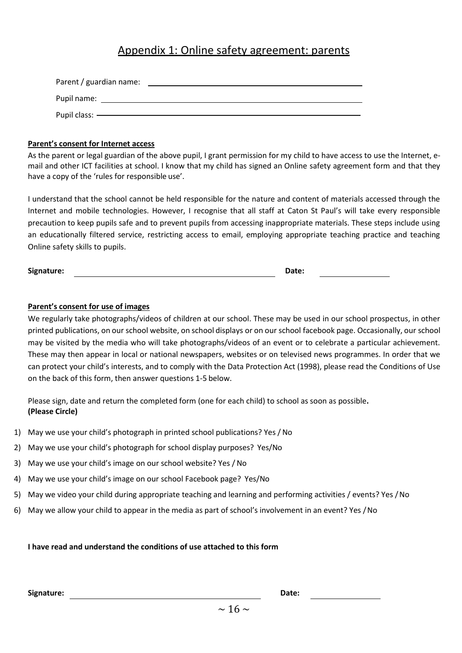## Appendix 1: Online safety agreement: parents

| Parent / guardian name: |  |
|-------------------------|--|
| Pupil name:             |  |
| Pupil class: ——         |  |

#### **Parent's consent for Internet access**

As the parent or legal guardian of the above pupil, I grant permission for my child to have access to use the Internet, email and other ICT facilities at school. I know that my child has signed an Online safety agreement form and that they have a copy of the 'rules for responsible use'.

I understand that the school cannot be held responsible for the nature and content of materials accessed through the Internet and mobile technologies. However, I recognise that all staff at Caton St Paul's will take every responsible precaution to keep pupils safe and to prevent pupils from accessing inappropriate materials. These steps include using an educationally filtered service, restricting access to email, employing appropriate teaching practice and teaching Online safety skills to pupils.

**Signature: Date:**

#### **Parent's consent for use of images**

We regularly take photographs/videos of children at our school. These may be used in our school prospectus, in other printed publications, on our school website, on school displays or on our school facebook page. Occasionally, our school may be visited by the media who will take photographs/videos of an event or to celebrate a particular achievement. These may then appear in local or national newspapers, websites or on televised news programmes. In order that we can protect your child's interests, and to comply with the Data Protection Act (1998), please read the Conditions of Use on the back of this form, then answer questions 1-5 below.

Please sign, date and return the completed form (one for each child) to school as soon as possible**. (Please Circle)**

- 1) May we use your child's photograph in printed school publications? Yes / No
- 2) May we use your child's photograph for school display purposes? Yes/No
- 3) May we use your child's image on our school website? Yes / No
- 4) May we use your child's image on our school Facebook page? Yes/No
- 5) May we video your child during appropriate teaching and learning and performing activities / events? Yes /No
- 6) May we allow your child to appear in the media as part of school's involvement in an event? Yes /No

#### **I have read and understand the conditions of use attached to this form**

**Signature: Date:**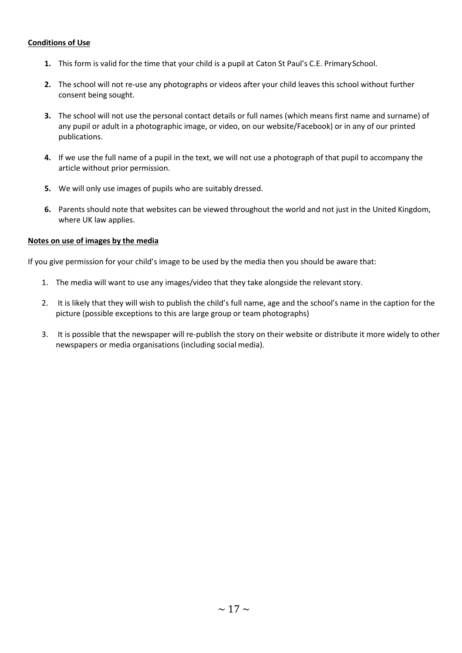#### **Conditions of Use**

- **1.** This form is valid for the time that your child is a pupil at Caton St Paul's C.E. PrimarySchool.
- **2.** The school will not re-use any photographs or videos after your child leaves this school without further consent being sought.
- **3.** The school will not use the personal contact details or full names (which means first name and surname) of any pupil or adult in a photographic image, or video, on our website/Facebook) or in any of our printed publications.
- **4.** If we use the full name of a pupil in the text, we will not use a photograph of that pupil to accompany the article without prior permission.
- **5.** We will only use images of pupils who are suitably dressed.
- **6.** Parents should note that websites can be viewed throughout the world and not just in the United Kingdom, where UK law applies.

#### **Notes on use of images by the media**

If you give permission for your child's image to be used by the media then you should be aware that:

- 1. The media will want to use any images/video that they take alongside the relevant story.
- 2. It is likely that they will wish to publish the child's full name, age and the school's name in the caption for the picture (possible exceptions to this are large group or team photographs)
- 3. It is possible that the newspaper will re-publish the story on their website or distribute it more widely to other newspapers or media organisations (including social media).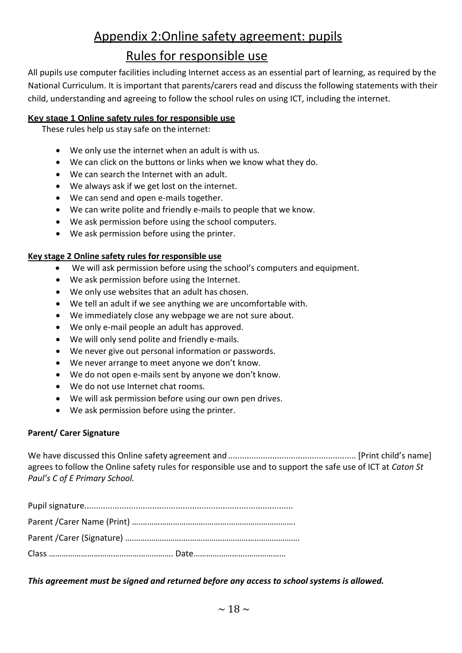## Appendix 2:Online safety agreement: pupils

## Rules for responsible use

All pupils use computer facilities including Internet access as an essential part of learning, as required by the National Curriculum. It is important that parents/carers read and discuss the following statements with their child, understanding and agreeing to follow the school rules on using ICT, including the internet.

#### **Key stage 1 Online safety rules for responsible use**

These rules help us stay safe on the internet:

- We only use the internet when an adult is with us.
- We can click on the buttons or links when we know what they do.
- We can search the Internet with an adult.
- We always ask if we get lost on the internet.
- We can send and open e-mails together.
- We can write polite and friendly e-mails to people that we know.
- We ask permission before using the school computers.
- We ask permission before using the printer.

#### **Key stage 2 Online safety rules for responsible use**

- We will ask permission before using the school's computers and equipment.
- We ask permission before using the Internet.
- We only use websites that an adult has chosen.
- We tell an adult if we see anything we are uncomfortable with.
- We immediately close any webpage we are not sure about.
- We only e-mail people an adult has approved.
- We will only send polite and friendly e-mails.
- We never give out personal information or passwords.
- We never arrange to meet anyone we don't know.
- We do not open e-mails sent by anyone we don't know.
- We do not use Internet chat rooms.
- We will ask permission before using our own pen drives.
- We ask permission before using the printer.

#### **Parent/ Carer Signature**

We have discussed this Online safety agreement and....................................................... [Print child's name] agrees to follow the Online safety rules for responsible use and to support the safe use of ICT at *Caton St Paul's C of E Primary School.*

*This agreement must be signed and returned before any access to school systems is allowed.*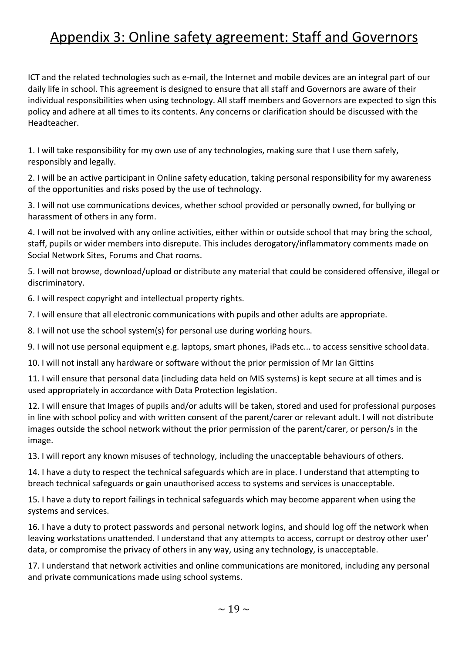## Appendix 3: Online safety agreement: Staff and Governors

ICT and the related technologies such as e-mail, the Internet and mobile devices are an integral part of our daily life in school. This agreement is designed to ensure that all staff and Governors are aware of their individual responsibilities when using technology. All staff members and Governors are expected to sign this policy and adhere at all times to its contents. Any concerns or clarification should be discussed with the Headteacher.

1. I will take responsibility for my own use of any technologies, making sure that I use them safely, responsibly and legally.

2. I will be an active participant in Online safety education, taking personal responsibility for my awareness of the opportunities and risks posed by the use of technology.

3. I will not use communications devices, whether school provided or personally owned, for bullying or harassment of others in any form.

4. I will not be involved with any online activities, either within or outside school that may bring the school, staff, pupils or wider members into disrepute. This includes derogatory/inflammatory comments made on Social Network Sites, Forums and Chat rooms.

5. I will not browse, download/upload or distribute any material that could be considered offensive, illegal or discriminatory.

6. I will respect copyright and intellectual property rights.

7. I will ensure that all electronic communications with pupils and other adults are appropriate.

8. I will not use the school system(s) for personal use during working hours.

9. I will not use personal equipment e.g. laptops, smart phones, iPads etc... to access sensitive schooldata.

10. I will not install any hardware or software without the prior permission of Mr Ian Gittins

11. I will ensure that personal data (including data held on MIS systems) is kept secure at all times and is used appropriately in accordance with Data Protection legislation.

12. I will ensure that Images of pupils and/or adults will be taken, stored and used for professional purposes in line with school policy and with written consent of the parent/carer or relevant adult. I will not distribute images outside the school network without the prior permission of the parent/carer, or person/s in the image.

13. I will report any known misuses of technology, including the unacceptable behaviours of others.

14. I have a duty to respect the technical safeguards which are in place. I understand that attempting to breach technical safeguards or gain unauthorised access to systems and services is unacceptable.

15. I have a duty to report failings in technical safeguards which may become apparent when using the systems and services.

16. I have a duty to protect passwords and personal network logins, and should log off the network when leaving workstations unattended. I understand that any attempts to access, corrupt or destroy other user' data, or compromise the privacy of others in any way, using any technology, is unacceptable.

17. I understand that network activities and online communications are monitored, including any personal and private communications made using school systems.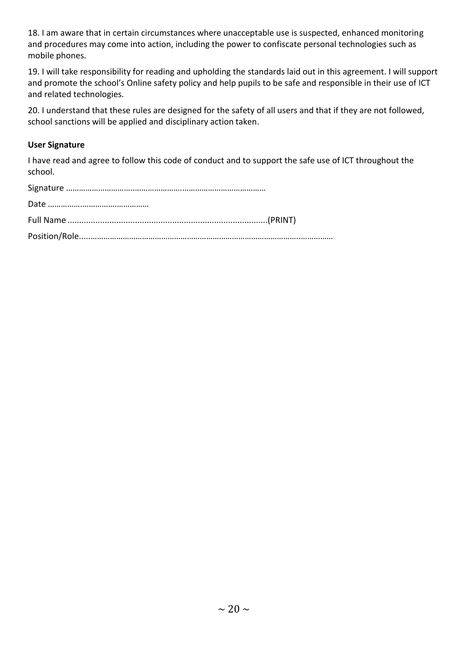18. I am aware that in certain circumstances where unacceptable use is suspected, enhanced monitoring and procedures may come into action, including the power to confiscate personal technologies such as mobile phones.

19. I will take responsibility for reading and upholding the standards laid out in this agreement. I will support and promote the school's Online safety policy and help pupils to be safe and responsible in their use of ICT and related technologies.

20. I understand that these rules are designed for the safety of all users and that if they are not followed, school sanctions will be applied and disciplinary action taken.

#### **User Signature**

I have read and agree to follow this code of conduct and to support the safe use of ICT throughout the school.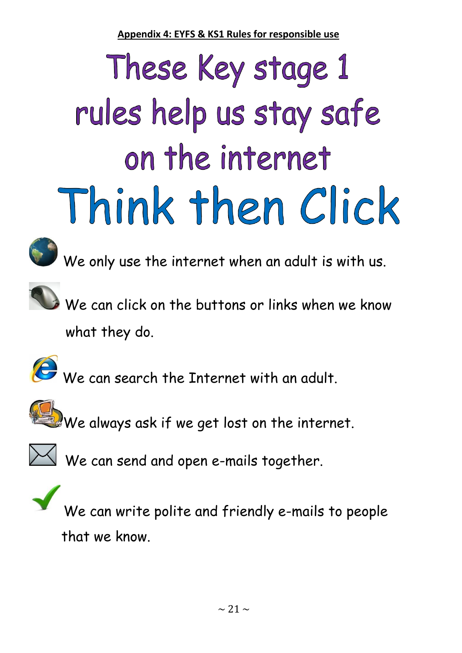**Appendix 4: EYFS & KS1 Rules for responsible use**

# These Key stage 1 rules help us stay safe on the internet Think then Click



We only use the internet when an adult is with us.



We can click on the buttons or links when we know what they do.



We can search the Internet with an adult.



 $\mathbf{W}$  We always ask if we get lost on the internet.



 $\mathbb{M}$  We can send and open e-mails together.



We can write polite and friendly e-mails to people that we know.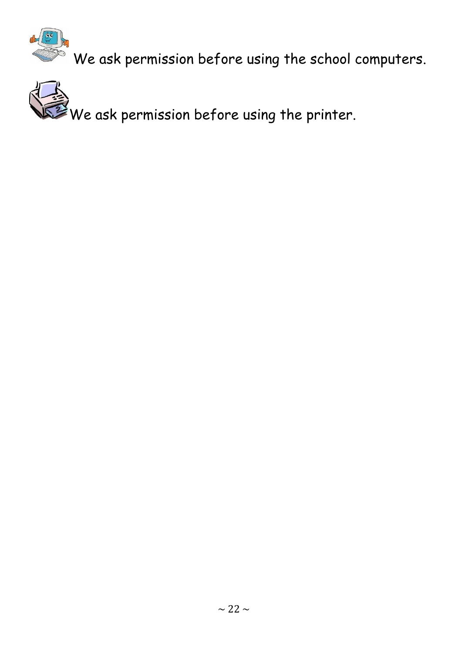

 $\tilde{\mathbb{R}}$  We ask permission before using the school computers.